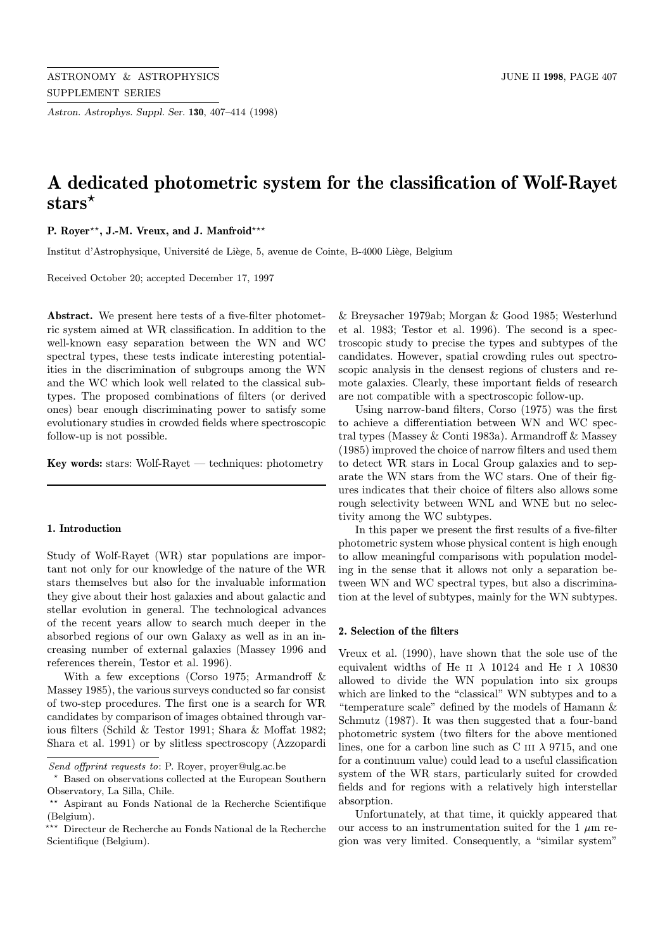Astron. Astrophys. Suppl. Ser. 130, 407–414 (1998)

# A dedicated photometric system for the classification of Wolf-Rayet stars<sup>\*</sup>

P. Rover<sup>\*\*</sup>, J.-M. Vreux, and J. Manfroid<sup>\*\*\*</sup>

Institut d'Astrophysique, Université de Liège, 5, avenue de Cointe, B-4000 Liège, Belgium

Received October 20; accepted December 17, 1997

Abstract. We present here tests of a five-filter photometric system aimed at WR classification. In addition to the well-known easy separation between the WN and WC spectral types, these tests indicate interesting potentialities in the discrimination of subgroups among the WN and the WC which look well related to the classical subtypes. The proposed combinations of filters (or derived ones) bear enough discriminating power to satisfy some evolutionary studies in crowded fields where spectroscopic follow-up is not possible.

Key words: stars: Wolf-Rayet — techniques: photometry

## 1. Introduction

Study of Wolf-Rayet (WR) star populations are important not only for our knowledge of the nature of the WR stars themselves but also for the invaluable information they give about their host galaxies and about galactic and stellar evolution in general. The technological advances of the recent years allow to search much deeper in the absorbed regions of our own Galaxy as well as in an increasing number of external galaxies (Massey 1996 and references therein, Testor et al. 1996).

With a few exceptions (Corso 1975; Armandroff & Massey 1985), the various surveys conducted so far consist of two-step procedures. The first one is a search for WR candidates by comparison of images obtained through various filters (Schild & Testor 1991; Shara & Moffat 1982; Shara et al. 1991) or by slitless spectroscopy (Azzopardi & Breysacher 1979ab; Morgan & Good 1985; Westerlund et al. 1983; Testor et al. 1996). The second is a spectroscopic study to precise the types and subtypes of the candidates. However, spatial crowding rules out spectroscopic analysis in the densest regions of clusters and remote galaxies. Clearly, these important fields of research are not compatible with a spectroscopic follow-up.

Using narrow-band filters, Corso (1975) was the first to achieve a differentiation between WN and WC spectral types (Massey & Conti 1983a). Armandroff & Massey (1985) improved the choice of narrow filters and used them to detect WR stars in Local Group galaxies and to separate the WN stars from the WC stars. One of their figures indicates that their choice of filters also allows some rough selectivity between WNL and WNE but no selectivity among the WC subtypes.

In this paper we present the first results of a five-filter photometric system whose physical content is high enough to allow meaningful comparisons with population modeling in the sense that it allows not only a separation between WN and WC spectral types, but also a discrimination at the level of subtypes, mainly for the WN subtypes.

## 2. Selection of the filters

Vreux et al. (1990), have shown that the sole use of the equivalent widths of He II  $\lambda$  10124 and He I  $\lambda$  10830 allowed to divide the WN population into six groups which are linked to the "classical" WN subtypes and to a "temperature scale" defined by the models of Hamann & Schmutz (1987). It was then suggested that a four-band photometric system (two filters for the above mentioned lines, one for a carbon line such as C III  $\lambda$  9715, and one for a continuum value) could lead to a useful classification system of the WR stars, particularly suited for crowded fields and for regions with a relatively high interstellar absorption.

Unfortunately, at that time, it quickly appeared that our access to an instrumentation suited for the 1  $\mu$ m region was very limited. Consequently, a "similar system"

Send offprint requests to: P. Royer, proyer@ulg.ac.be

<sup>?</sup> Based on observations collected at the European Southern Observatory, La Silla, Chile.

<sup>??</sup> Aspirant au Fonds National de la Recherche Scientifique (Belgium).

 $\overleftrightarrow{~ }$  Directeur de Recherche au Fonds National de la Recherche Scientifique (Belgium).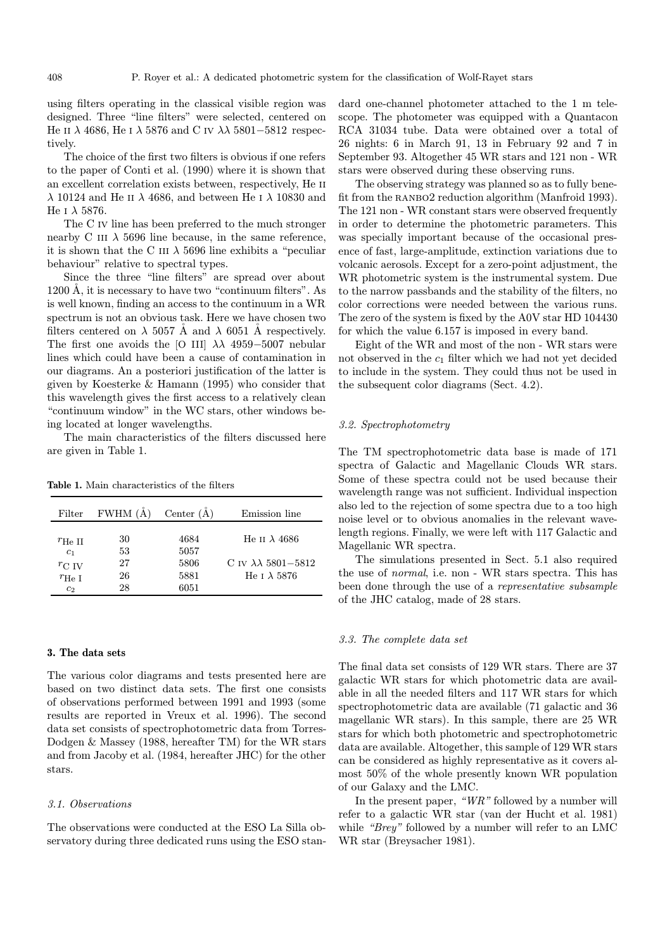using filters operating in the classical visible region was designed. Three "line filters" were selected, centered on He II  $\lambda$  4686, He I  $\lambda$  5876 and C IV  $\lambda\lambda$  5801–5812 respectively.

The choice of the first two filters is obvious if one refers to the paper of Conti et al. (1990) where it is shown that an excellent correlation exists between, respectively, He ii λ 10124 and He ii λ 4686, and between He i λ 10830 and He I  $\lambda$  5876.

The C iv line has been preferred to the much stronger nearby C III  $\lambda$  5696 line because, in the same reference, it is shown that the C III  $\lambda$  5696 line exhibits a "peculiar behaviour" relative to spectral types.

Since the three "line filters" are spread over about  $1200 \text{ Å}$ , it is necessary to have two "continuum filters". As is well known, finding an access to the continuum in a WR spectrum is not an obvious task. Here we have chosen two filters centered on  $\lambda$  5057 Å and  $\lambda$  6051 Å respectively. The first one avoids the [O III]  $\lambda\lambda$  4959–5007 nebular lines which could have been a cause of contamination in our diagrams. An a posteriori justification of the latter is given by Koesterke & Hamann (1995) who consider that this wavelength gives the first access to a relatively clean "continuum window" in the WC stars, other windows being located at longer wavelengths.

The main characteristics of the filters discussed here are given in Table 1.

Table 1. Main characteristics of the filters

| Filter            | <b>FWHM</b> (A) | Center $(A)$ | Emission line                   |
|-------------------|-----------------|--------------|---------------------------------|
| $r_{\rm He~II}$   | 30              | 4684         | He II $\lambda$ 4686            |
| c <sub>1</sub>    | 53              | 5057         | C IV $\lambda\lambda$ 5801-5812 |
| $r_{\rm C\ IV}$   | 27              | 5806         |                                 |
| $r_{\text{He I}}$ | 26              | 5881         | He t $\lambda$ 5876             |
| c <sub>2</sub>    | 28              | 6051         |                                 |

#### 3. The data sets

The various color diagrams and tests presented here are based on two distinct data sets. The first one consists of observations performed between 1991 and 1993 (some results are reported in Vreux et al. 1996). The second data set consists of spectrophotometric data from Torres-Dodgen & Massey (1988, hereafter TM) for the WR stars and from Jacoby et al. (1984, hereafter JHC) for the other stars.

## 3.1. Observations

The observations were conducted at the ESO La Silla observatory during three dedicated runs using the ESO standard one-channel photometer attached to the 1 m telescope. The photometer was equipped with a Quantacon RCA 31034 tube. Data were obtained over a total of 26 nights: 6 in March 91, 13 in February 92 and 7 in September 93. Altogether 45 WR stars and 121 non - WR stars were observed during these observing runs.

The observing strategy was planned so as to fully benefit from the ranbo2 reduction algorithm (Manfroid 1993). The 121 non - WR constant stars were observed frequently in order to determine the photometric parameters. This was specially important because of the occasional presence of fast, large-amplitude, extinction variations due to volcanic aerosols. Except for a zero-point adjustment, the WR photometric system is the instrumental system. Due to the narrow passbands and the stability of the filters, no color corrections were needed between the various runs. The zero of the system is fixed by the A0V star HD 104430 for which the value 6.157 is imposed in every band.

Eight of the WR and most of the non - WR stars were not observed in the  $c_1$  filter which we had not yet decided to include in the system. They could thus not be used in the subsequent color diagrams (Sect. 4.2).

## 3.2. Spectrophotometry

The TM spectrophotometric data base is made of 171 spectra of Galactic and Magellanic Clouds WR stars. Some of these spectra could not be used because their wavelength range was not sufficient. Individual inspection also led to the rejection of some spectra due to a too high noise level or to obvious anomalies in the relevant wavelength regions. Finally, we were left with 117 Galactic and Magellanic WR spectra.

The simulations presented in Sect. 5.1 also required the use of normal, i.e. non - WR stars spectra. This has been done through the use of a representative subsample of the JHC catalog, made of 28 stars.

# 3.3. The complete data set

The final data set consists of 129 WR stars. There are 37 galactic WR stars for which photometric data are available in all the needed filters and 117 WR stars for which spectrophotometric data are available (71 galactic and 36 magellanic WR stars). In this sample, there are 25 WR stars for which both photometric and spectrophotometric data are available. Altogether, this sample of 129 WR stars can be considered as highly representative as it covers almost 50% of the whole presently known WR population of our Galaxy and the LMC.

In the present paper, "WR" followed by a number will refer to a galactic WR star (van der Hucht et al. 1981) while "Brey" followed by a number will refer to an LMC WR star (Breysacher 1981).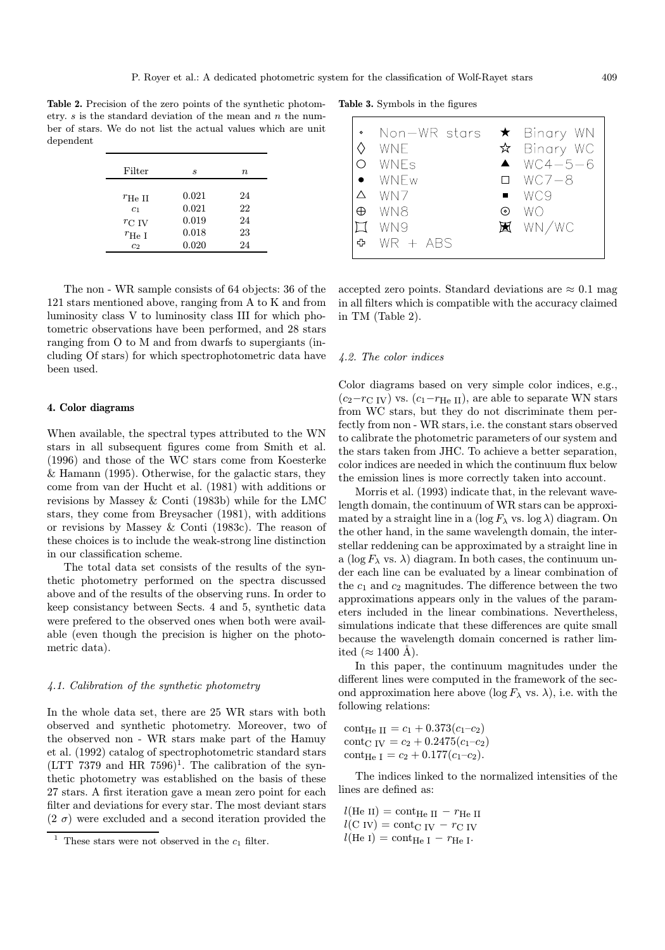Table 2. Precision of the zero points of the synthetic photometry.  $s$  is the standard deviation of the mean and  $n$  the number of stars. We do not list the actual values which are unit dependent

| Filter          | s     | $n_{\rm}$ |
|-----------------|-------|-----------|
| $r_{\rm He~II}$ | 0.021 | 24        |
| c <sub>1</sub>  | 0.021 | 22        |
| $r_{\rm C\ IV}$ | 0.019 | 24        |
| $r_{\rm He\ I}$ | 0.018 | 23        |
| c <sub>2</sub>  | 0.020 | 24        |

The non - WR sample consists of 64 objects: 36 of the 121 stars mentioned above, ranging from A to K and from luminosity class V to luminosity class III for which photometric observations have been performed, and 28 stars ranging from O to M and from dwarfs to supergiants (including Of stars) for which spectrophotometric data have been used.

## 4. Color diagrams

When available, the spectral types attributed to the WN stars in all subsequent figures come from Smith et al. (1996) and those of the WC stars come from Koesterke & Hamann (1995). Otherwise, for the galactic stars, they come from van der Hucht et al. (1981) with additions or revisions by Massey & Conti (1983b) while for the LMC stars, they come from Breysacher (1981), with additions or revisions by Massey & Conti (1983c). The reason of these choices is to include the weak-strong line distinction in our classification scheme.

The total data set consists of the results of the synthetic photometry performed on the spectra discussed above and of the results of the observing runs. In order to keep consistancy between Sects. 4 and 5, synthetic data were prefered to the observed ones when both were available (even though the precision is higher on the photometric data).

#### 4.1. Calibration of the synthetic photometry

In the whole data set, there are 25 WR stars with both observed and synthetic photometry. Moreover, two of the observed non - WR stars make part of the Hamuy et al. (1992) catalog of spectrophotometric standard stars  $(LTT 7379$  and HR  $7596$ <sup>1</sup>. The calibration of the synthetic photometry was established on the basis of these 27 stars. A first iteration gave a mean zero point for each filter and deviations for every star. The most deviant stars  $(2\sigma)$  were excluded and a second iteration provided the

Table 3. Symbols in the figures

| $\circ$ | Non—WR stars<br><b>WNE</b><br>WNFs<br>WNEw |                | $\star$ Binary WN<br>$\hat{x}$ Binary WC<br>$WCA - 5 - 6$<br>$\Box$ WC7-8 |
|---------|--------------------------------------------|----------------|---------------------------------------------------------------------------|
| Δ       | WN7                                        | $\blacksquare$ | WC9                                                                       |
| ⊕       | WN8                                        | (၀)            | WО                                                                        |
|         | WN9                                        |                | $\mathbb{H}$ WN/WC                                                        |
| ≎       | $WR + ABS$                                 |                |                                                                           |

accepted zero points. Standard deviations are  $\approx 0.1$  mag in all filters which is compatible with the accuracy claimed in TM (Table 2).

#### 4.2. The color indices

Color diagrams based on very simple color indices, e.g.,  $(c_2-r_{\text{C IV}})$  vs.  $(c_1-r_{\text{He II}})$ , are able to separate WN stars from WC stars, but they do not discriminate them perfectly from non - WR stars, i.e. the constant stars observed to calibrate the photometric parameters of our system and the stars taken from JHC. To achieve a better separation, color indices are needed in which the continuum flux below the emission lines is more correctly taken into account.

Morris et al. (1993) indicate that, in the relevant wavelength domain, the continuum of WR stars can be approximated by a straight line in a  $(\log F_\lambda \text{ vs. } \log \lambda)$  diagram. On the other hand, in the same wavelength domain, the interstellar reddening can be approximated by a straight line in a (log  $F_{\lambda}$  vs.  $\lambda$ ) diagram. In both cases, the continuum under each line can be evaluated by a linear combination of the  $c_1$  and  $c_2$  magnitudes. The difference between the two approximations appears only in the values of the parameters included in the linear combinations. Nevertheless, simulations indicate that these differences are quite small because the wavelength domain concerned is rather limited ( $\approx$  1400 Å).

In this paper, the continuum magnitudes under the different lines were computed in the framework of the second approximation here above  $(\log F_\lambda \text{ vs. } \lambda)$ , i.e. with the following relations:

cont<sub>He II</sub> =  $c_1$  + 0.373( $c_1$ - $c_2$ ) cont<sub>C IV</sub> =  $c_2$  + 0.2475( $c_1$ - $c_2$ ) cont<sub>He I</sub> =  $c_2$  + 0.177( $c_1$ - $c_2$ ).

The indices linked to the normalized intensities of the lines are defined as:

 $l(\text{He II}) = \text{cont}_{\text{He II}} - r_{\text{He II}}$  $l(C IV) = \text{cont}_{C IV} - r_{C IV}$  $l(\text{He I}) = \text{cont}_{\text{He I}} - r_{\text{He I}}.$ 

<sup>&</sup>lt;sup>1</sup> These stars were not observed in the  $c_1$  filter.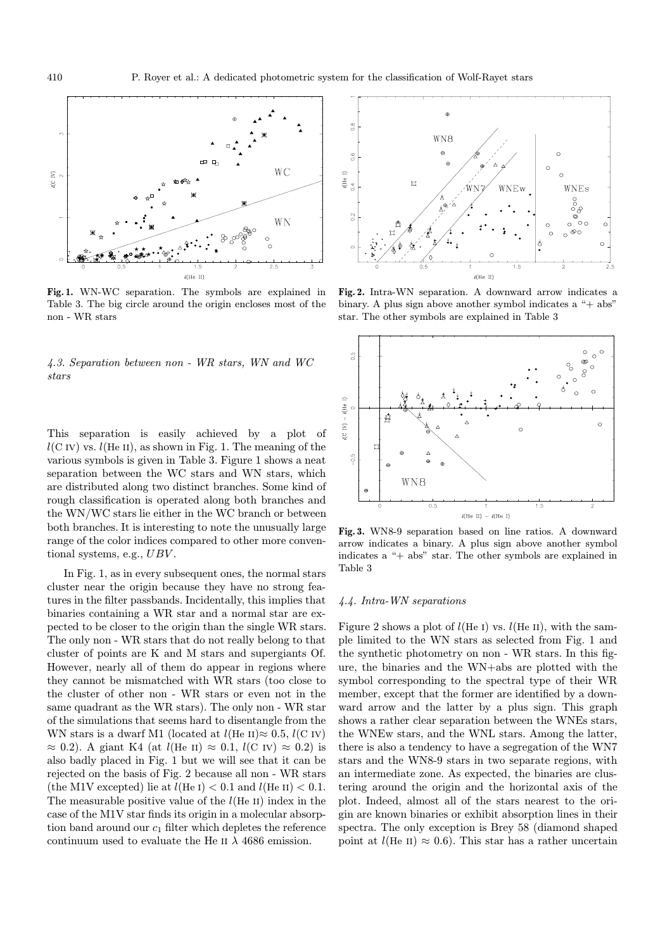

Fig. 1. WN-WC separation. The symbols are explained in Table 3. The big circle around the origin encloses most of the non - WR stars

4.3. Separation between non - WR stars, WN and WC stars

This separation is easily achieved by a plot of  $l(C IV)$  vs.  $l(He II)$ , as shown in Fig. 1. The meaning of the various symbols is given in Table 3. Figure 1 shows a neat separation between the WC stars and WN stars, which are distributed along two distinct branches. Some kind of rough classification is operated along both branches and the WN/WC stars lie either in the WC branch or between both branches. It is interesting to note the unusually large range of the color indices compared to other more conventional systems, e.g., UBV.

In Fig. 1, as in every subsequent ones, the normal stars cluster near the origin because they have no strong features in the filter passbands. Incidentally, this implies that binaries containing a WR star and a normal star are expected to be closer to the origin than the single WR stars. The only non - WR stars that do not really belong to that cluster of points are K and M stars and supergiants Of. However, nearly all of them do appear in regions where they cannot be mismatched with WR stars (too close to the cluster of other non - WR stars or even not in the same quadrant as the WR stars). The only non - WR star of the simulations that seems hard to disentangle from the WN stars is a dwarf M1 (located at  $l$ (He II) $\approx 0.5$ ,  $l$ (C IV)  $\approx$  0.2). A giant K4 (at *l*(He II)  $\approx$  0.1, *l*(C IV)  $\approx$  0.2) is also badly placed in Fig. 1 but we will see that it can be rejected on the basis of Fig. 2 because all non - WR stars (the M1V excepted) lie at  $l(\text{He I}) < 0.1$  and  $l(\text{He II}) < 0.1$ . The measurable positive value of the  $l(He II)$  index in the case of the M1V star finds its origin in a molecular absorption band around our  $c_1$  filter which depletes the reference continuum used to evaluate the He II  $\lambda$  4686 emission.



Fig. 2. Intra-WN separation. A downward arrow indicates a binary. A plus sign above another symbol indicates a "+ abs" star. The other symbols are explained in Table 3



Fig. 3. WN8-9 separation based on line ratios. A downward arrow indicates a binary. A plus sign above another symbol indicates a "+ abs" star. The other symbols are explained in Table 3

## 4.4. Intra-WN separations

Figure 2 shows a plot of  $l$ (He I) vs.  $l$ (He II), with the sample limited to the WN stars as selected from Fig. 1 and the synthetic photometry on non - WR stars. In this figure, the binaries and the WN+abs are plotted with the symbol corresponding to the spectral type of their WR member, except that the former are identified by a downward arrow and the latter by a plus sign. This graph shows a rather clear separation between the WNEs stars, the WNEw stars, and the WNL stars. Among the latter, there is also a tendency to have a segregation of the WN7 stars and the WN8-9 stars in two separate regions, with an intermediate zone. As expected, the binaries are clustering around the origin and the horizontal axis of the plot. Indeed, almost all of the stars nearest to the origin are known binaries or exhibit absorption lines in their spectra. The only exception is Brey 58 (diamond shaped point at  $l(He II) \approx 0.6$ ). This star has a rather uncertain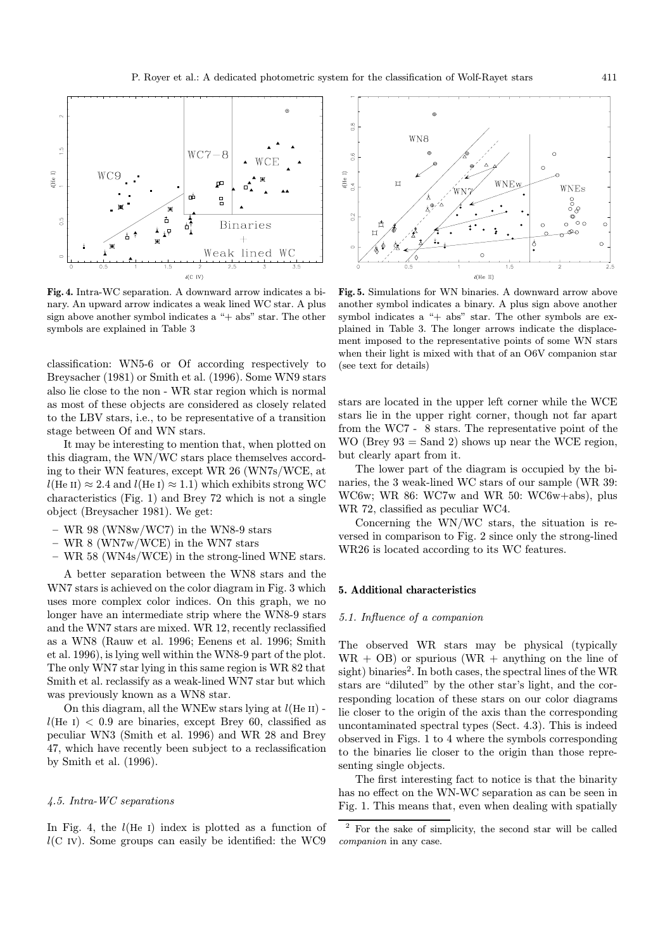

Fig. 4. Intra-WC separation. A downward arrow indicates a binary. An upward arrow indicates a weak lined WC star. A plus sign above another symbol indicates a "+ abs" star. The other symbols are explained in Table 3

classification: WN5-6 or Of according respectively to Breysacher (1981) or Smith et al. (1996). Some WN9 stars also lie close to the non - WR star region which is normal as most of these objects are considered as closely related to the LBV stars, i.e., to be representative of a transition stage between Of and WN stars.

It may be interesting to mention that, when plotted on this diagram, the WN/WC stars place themselves according to their WN features, except WR 26 (WN7s/WCE, at  $l(\text{He II}) \approx 2.4$  and  $l(\text{He I}) \approx 1.1$ ) which exhibits strong WC characteristics (Fig. 1) and Brey 72 which is not a single object (Breysacher 1981). We get:

- WR 98 (WN8w/WC7) in the WN8-9 stars
- WR 8 (WN7w/WCE) in the WN7 stars
- WR 58 (WN4s/WCE) in the strong-lined WNE stars.

A better separation between the WN8 stars and the WN7 stars is achieved on the color diagram in Fig. 3 which uses more complex color indices. On this graph, we no longer have an intermediate strip where the WN8-9 stars and the WN7 stars are mixed. WR 12, recently reclassified as a WN8 (Rauw et al. 1996; Eenens et al. 1996; Smith et al. 1996), is lying well within the WN8-9 part of the plot. The only WN7 star lying in this same region is WR 82 that Smith et al. reclassify as a weak-lined WN7 star but which was previously known as a WN8 star.

On this diagram, all the WNEw stars lying at  $l(He II)$   $l(He I) < 0.9$  are binaries, except Brey 60, classified as peculiar WN3 (Smith et al. 1996) and WR 28 and Brey 47, which have recently been subject to a reclassification by Smith et al. (1996).

## 4.5. Intra-WC separations

In Fig. 4, the  $l(He I)$  index is plotted as a function of  $l(C IV)$ . Some groups can easily be identified: the WC9



Fig. 5. Simulations for WN binaries. A downward arrow above another symbol indicates a binary. A plus sign above another symbol indicates a "+ abs" star. The other symbols are explained in Table 3. The longer arrows indicate the displacement imposed to the representative points of some WN stars when their light is mixed with that of an O6V companion star (see text for details)

stars are located in the upper left corner while the WCE stars lie in the upper right corner, though not far apart from the WC7 - 8 stars. The representative point of the WO (Brey  $93 =$  Sand 2) shows up near the WCE region, but clearly apart from it.

The lower part of the diagram is occupied by the binaries, the 3 weak-lined WC stars of our sample (WR 39: WC6w; WR 86: WC7w and WR 50: WC6w+abs), plus WR 72, classified as peculiar WC4.

Concerning the WN/WC stars, the situation is reversed in comparison to Fig. 2 since only the strong-lined WR26 is located according to its WC features.

#### 5. Additional characteristics

## 5.1. Influence of a companion

The observed WR stars may be physical (typically  $WR + OB$  or spurious  $(WR + anything on the line of)$ sight) binaries<sup>2</sup>. In both cases, the spectral lines of the WR stars are "diluted" by the other star's light, and the corresponding location of these stars on our color diagrams lie closer to the origin of the axis than the corresponding uncontaminated spectral types (Sect. 4.3). This is indeed observed in Figs. 1 to 4 where the symbols corresponding to the binaries lie closer to the origin than those representing single objects.

The first interesting fact to notice is that the binarity has no effect on the WN-WC separation as can be seen in Fig. 1. This means that, even when dealing with spatially

<sup>2</sup> For the sake of simplicity, the second star will be called companion in any case.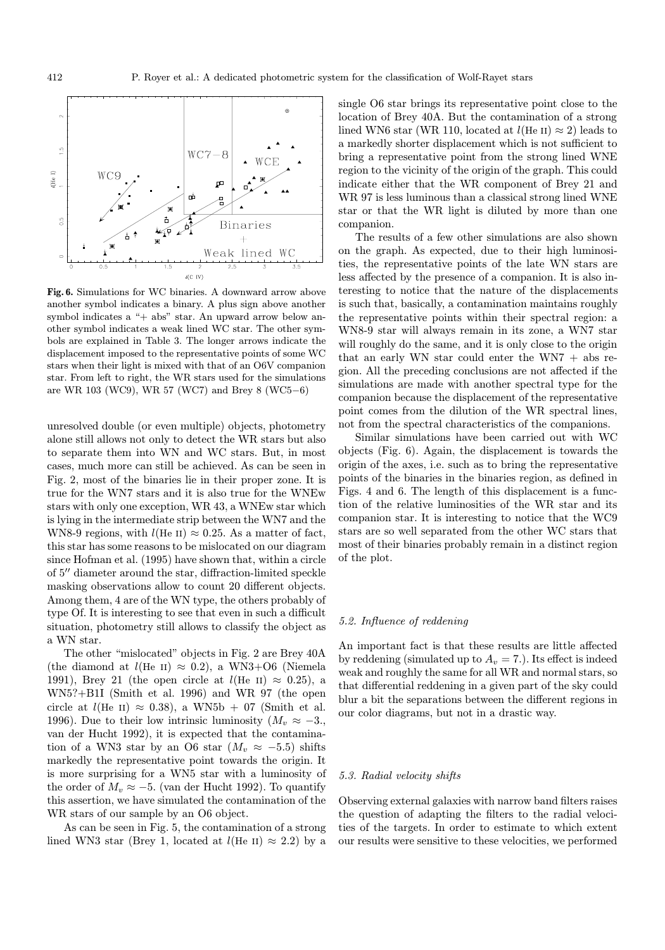

Fig. 6. Simulations for WC binaries. A downward arrow above another symbol indicates a binary. A plus sign above another symbol indicates a "+ abs" star. An upward arrow below another symbol indicates a weak lined WC star. The other symbols are explained in Table 3. The longer arrows indicate the displacement imposed to the representative points of some WC stars when their light is mixed with that of an O6V companion star. From left to right, the WR stars used for the simulations are WR 103 (WC9), WR 57 (WC7) and Brey 8 (WC5−6)

unresolved double (or even multiple) objects, photometry alone still allows not only to detect the WR stars but also to separate them into WN and WC stars. But, in most cases, much more can still be achieved. As can be seen in Fig. 2, most of the binaries lie in their proper zone. It is true for the WN7 stars and it is also true for the WNEw stars with only one exception, WR 43, a WNEw star which is lying in the intermediate strip between the WN7 and the WN8-9 regions, with  $l(He II) \approx 0.25$ . As a matter of fact, this star has some reasons to be mislocated on our diagram since Hofman et al. (1995) have shown that, within a circle of 5<sup> $\prime\prime$ </sup> diameter around the star, diffraction-limited speckle masking observations allow to count 20 different objects. Among them, 4 are of the WN type, the others probably of type Of. It is interesting to see that even in such a difficult situation, photometry still allows to classify the object as a WN star.

The other "mislocated" objects in Fig. 2 are Brey 40A (the diamond at  $l(\text{He II}) \approx 0.2$ ), a WN3+O6 (Niemela 1991), Brey 21 (the open circle at  $l(\text{He II}) \approx 0.25$ ), a WN5?+B1I (Smith et al. 1996) and WR 97 (the open circle at  $l$ (He II)  $\approx$  0.38), a WN5b + 07 (Smith et al. 1996). Due to their low intrinsic luminosity  $(M_v \approx -3)$ , van der Hucht 1992), it is expected that the contamination of a WN3 star by an O6 star  $(M_v \approx -5.5)$  shifts markedly the representative point towards the origin. It is more surprising for a WN5 star with a luminosity of the order of  $M_v \approx -5$ . (van der Hucht 1992). To quantify this assertion, we have simulated the contamination of the WR stars of our sample by an O6 object.

As can be seen in Fig. 5, the contamination of a strong lined WN3 star (Brey 1, located at  $l$ (He II)  $\approx$  2.2) by a single O6 star brings its representative point close to the location of Brey 40A. But the contamination of a strong lined WN6 star (WR 110, located at  $l(He II) \approx 2$ ) leads to a markedly shorter displacement which is not sufficient to bring a representative point from the strong lined WNE region to the vicinity of the origin of the graph. This could indicate either that the WR component of Brey 21 and WR 97 is less luminous than a classical strong lined WNE star or that the WR light is diluted by more than one companion.

The results of a few other simulations are also shown on the graph. As expected, due to their high luminosities, the representative points of the late WN stars are less affected by the presence of a companion. It is also interesting to notice that the nature of the displacements is such that, basically, a contamination maintains roughly the representative points within their spectral region: a WN8-9 star will always remain in its zone, a WN7 star will roughly do the same, and it is only close to the origin that an early WN star could enter the WN7  $+$  abs region. All the preceding conclusions are not affected if the simulations are made with another spectral type for the companion because the displacement of the representative point comes from the dilution of the WR spectral lines, not from the spectral characteristics of the companions.

Similar simulations have been carried out with WC objects (Fig. 6). Again, the displacement is towards the origin of the axes, i.e. such as to bring the representative points of the binaries in the binaries region, as defined in Figs. 4 and 6. The length of this displacement is a function of the relative luminosities of the WR star and its companion star. It is interesting to notice that the WC9 stars are so well separated from the other WC stars that most of their binaries probably remain in a distinct region of the plot.

## 5.2. Influence of reddening

An important fact is that these results are little affected by reddening (simulated up to  $A_v = 7$ .). Its effect is indeed weak and roughly the same for all WR and normal stars, so that differential reddening in a given part of the sky could blur a bit the separations between the different regions in our color diagrams, but not in a drastic way.

## 5.3. Radial velocity shifts

Observing external galaxies with narrow band filters raises the question of adapting the filters to the radial velocities of the targets. In order to estimate to which extent our results were sensitive to these velocities, we performed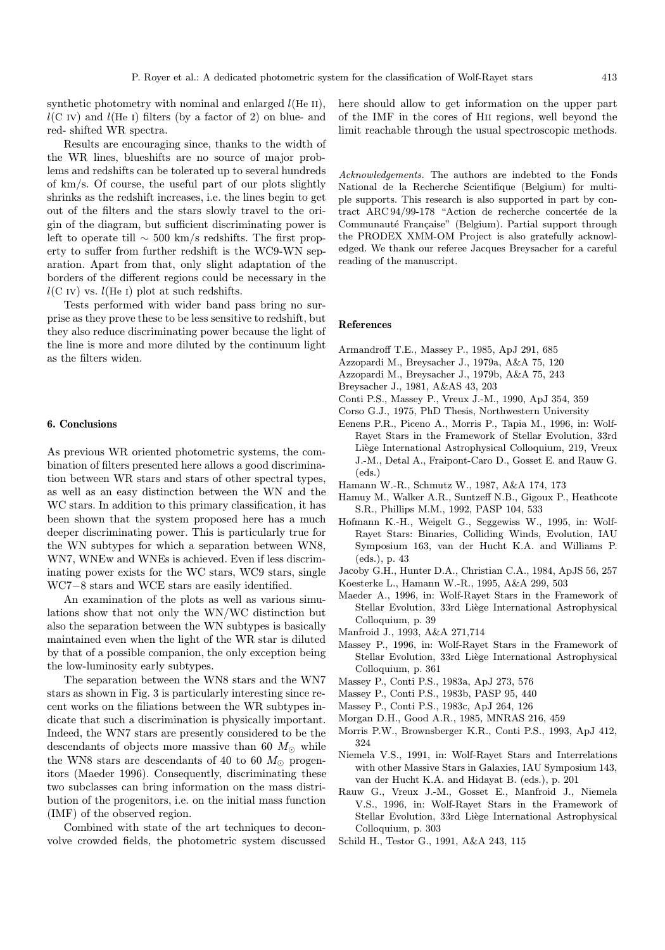synthetic photometry with nominal and enlarged  $l(He II)$ ,  $l(C IV)$  and  $l(He I)$  filters (by a factor of 2) on blue- and red- shifted WR spectra.

Results are encouraging since, thanks to the width of the WR lines, blueshifts are no source of major problems and redshifts can be tolerated up to several hundreds of km/s. Of course, the useful part of our plots slightly shrinks as the redshift increases, i.e. the lines begin to get out of the filters and the stars slowly travel to the origin of the diagram, but sufficient discriminating power is left to operate till ∼ 500 km/s redshifts. The first property to suffer from further redshift is the WC9-WN separation. Apart from that, only slight adaptation of the borders of the different regions could be necessary in the  $l(C IV)$  vs.  $l(He I)$  plot at such redshifts.

Tests performed with wider band pass bring no surprise as they prove these to be less sensitive to redshift, but they also reduce discriminating power because the light of the line is more and more diluted by the continuum light as the filters widen.

#### 6. Conclusions

As previous WR oriented photometric systems, the combination of filters presented here allows a good discrimination between WR stars and stars of other spectral types, as well as an easy distinction between the WN and the WC stars. In addition to this primary classification, it has been shown that the system proposed here has a much deeper discriminating power. This is particularly true for the WN subtypes for which a separation between WN8, WN7, WNEw and WNEs is achieved. Even if less discriminating power exists for the WC stars, WC9 stars, single WC7−8 stars and WCE stars are easily identified.

An examination of the plots as well as various simulations show that not only the WN/WC distinction but also the separation between the WN subtypes is basically maintained even when the light of the WR star is diluted by that of a possible companion, the only exception being the low-luminosity early subtypes.

The separation between the WN8 stars and the WN7 stars as shown in Fig. 3 is particularly interesting since recent works on the filiations between the WR subtypes indicate that such a discrimination is physically important. Indeed, the WN7 stars are presently considered to be the descendants of objects more massive than 60  $M_{\odot}$  while the WN8 stars are descendants of 40 to 60  $M_{\odot}$  progenitors (Maeder 1996). Consequently, discriminating these two subclasses can bring information on the mass distribution of the progenitors, i.e. on the initial mass function (IMF) of the observed region.

Combined with state of the art techniques to deconvolve crowded fields, the photometric system discussed here should allow to get information on the upper part of the IMF in the cores of Hii regions, well beyond the limit reachable through the usual spectroscopic methods.

Acknowledgements. The authors are indebted to the Fonds National de la Recherche Scientifique (Belgium) for multiple supports. This research is also supported in part by contract ARC 94/99-178 "Action de recherche concertée de la Communauté Française" (Belgium). Partial support through the PRODEX XMM-OM Project is also gratefully acknowledged. We thank our referee Jacques Breysacher for a careful reading of the manuscript.

#### References

- Armandroff T.E., Massey P., 1985, ApJ 291, 685
- Azzopardi M., Breysacher J., 1979a, A&A 75, 120
- Azzopardi M., Breysacher J., 1979b, A&A 75, 243
- Breysacher J., 1981, A&AS 43, 203
- Conti P.S., Massey P., Vreux J.-M., 1990, ApJ 354, 359
- Corso G.J., 1975, PhD Thesis, Northwestern University
- Eenens P.R., Piceno A., Morris P., Tapia M., 1996, in: Wolf-Rayet Stars in the Framework of Stellar Evolution, 33rd Liège International Astrophysical Colloquium, 219, Vreux J.-M., Detal A., Fraipont-Caro D., Gosset E. and Rauw G.  $(\text{eds})$
- Hamann W.-R., Schmutz W., 1987, A&A 174, 173
- Hamuy M., Walker A.R., Suntzeff N.B., Gigoux P., Heathcote S.R., Phillips M.M., 1992, PASP 104, 533
- Hofmann K.-H., Weigelt G., Seggewiss W., 1995, in: Wolf-Rayet Stars: Binaries, Colliding Winds, Evolution, IAU Symposium 163, van der Hucht K.A. and Williams P. (eds.), p. 43
- Jacoby G.H., Hunter D.A., Christian C.A., 1984, ApJS 56, 257
- Koesterke L., Hamann W.-R., 1995, A&A 299, 503
- Maeder A., 1996, in: Wolf-Rayet Stars in the Framework of Stellar Evolution, 33rd Liège International Astrophysical Colloquium, p. 39
- Manfroid J., 1993, A&A 271,714
- Massey P., 1996, in: Wolf-Rayet Stars in the Framework of Stellar Evolution, 33rd Liège International Astrophysical Colloquium, p. 361
- Massey P., Conti P.S., 1983a, ApJ 273, 576
- Massey P., Conti P.S., 1983b, PASP 95, 440
- Massey P., Conti P.S., 1983c, ApJ 264, 126
- Morgan D.H., Good A.R., 1985, MNRAS 216, 459
- Morris P.W., Brownsberger K.R., Conti P.S., 1993, ApJ 412, 324
- Niemela V.S., 1991, in: Wolf-Rayet Stars and Interrelations with other Massive Stars in Galaxies, IAU Symposium 143, van der Hucht K.A. and Hidayat B. (eds.), p. 201
- Rauw G., Vreux J.-M., Gosset E., Manfroid J., Niemela V.S., 1996, in: Wolf-Rayet Stars in the Framework of Stellar Evolution, 33rd Liège International Astrophysical Colloquium, p. 303
- Schild H., Testor G., 1991, A&A 243, 115